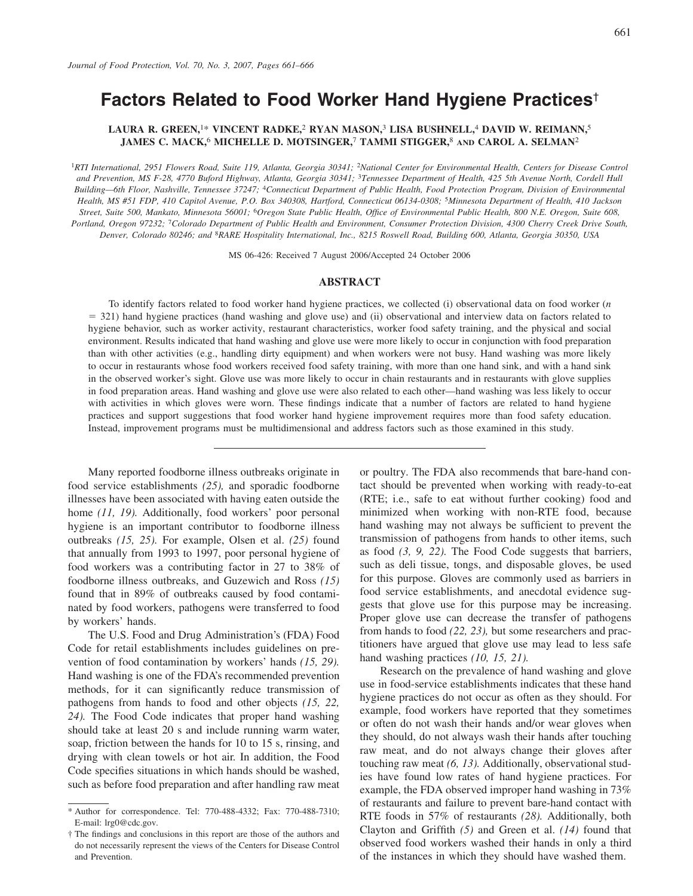# Factors Related to Food Worker Hand Hygiene Practices<sup>+</sup>

# LAURA R. GREEN,<sup>1\*</sup> VINCENT RADKE,<sup>2</sup> RYAN MASON,<sup>3</sup> LISA BUSHNELL,<sup>4</sup> DAVID W. REIMANN,<sup>5</sup> JAMES C. MACK,<sup>6</sup> MICHELLE D. MOTSINGER,<sup>7</sup> TAMMI STIGGER,<sup>8</sup> AND CAROL A. SELMAN<sup>2</sup>

<sup>1</sup>RTI International, 2951 Flowers Road, Suite 119, Atlanta, Georgia 30341; <sup>2</sup>National Center for Environmental Health, Centers for Disease Control and Prevention, MS F-28, 4770 Buford Highway, Atlanta, Georgia 30341; <sup>3</sup>Tennessee Department of Health, 425 5th Avenue North, Cordell Hull Building-6th Floor, Nashville, Tennessee 37247; <sup>4</sup>Connecticut Department of Public Health, Food Protection Program, Division of Environmental Health, MS #51 FDP, 410 Capitol Avenue, P.O. Box 340308, Hartford, Connecticut 06134-0308; 5Minnesota Department of Health, 410 Jackson Street, Suite 500, Mankato, Minnesota 56001; <sup>6</sup>Oregon State Public Health, Office of Environmental Public Health, 800 N.E. Oregon, Suite 608, Portland, Oregon 97232; <sup>7</sup>Colorado Department of Public Health and Environment, Consumer Protection Division, 4300 Cherry Creek Drive South, Denver, Colorado 80246; and <sup>8</sup>RARE Hospitality International, Inc., 8215 Roswell Road, Building 600, Atlanta, Georgia 30350, USA

MS 06-426: Received 7 August 2006/Accepted 24 October 2006

### **ABSTRACT**

To identify factors related to food worker hand hygiene practices, we collected (i) observational data on food worker (n = 321) hand hygiene practices (hand washing and glove use) and (ii) observational and interview data on factors related to hygiene behavior, such as worker activity, restaurant characteristics, worker food safety training, and the physical and social environment. Results indicated that hand washing and glove use were more likely to occur in conjunction with food preparation than with other activities (e.g., handling dirty equipment) and when workers were not busy. Hand washing was more likely to occur in restaurants whose food workers received food safety training, with more than one hand sink, and with a hand sink in the observed worker's sight. Glove use was more likely to occur in chain restaurants and in restaurants with glove supplies in food preparation areas. Hand washing and glove use were also related to each other—hand washing was less likely to occur with activities in which gloves were worn. These findings indicate that a number of factors are related to hand hygiene practices and support suggestions that food worker hand hygiene improvement requires more than food safety education. Instead, improvement programs must be multidimensional and address factors such as those examined in this study.

Many reported foodborne illness outbreaks originate in food service establishments  $(25)$ , and sporadic foodborne illnesses have been associated with having eaten outside the home (11, 19). Additionally, food workers' poor personal hygiene is an important contributor to foodborne illness outbreaks (15, 25). For example, Olsen et al. (25) found that annually from 1993 to 1997, poor personal hygiene of food workers was a contributing factor in 27 to 38% of foodborne illness outbreaks, and Guzewich and Ross (15) found that in 89% of outbreaks caused by food contaminated by food workers, pathogens were transferred to food by workers' hands.

The U.S. Food and Drug Administration's (FDA) Food Code for retail establishments includes guidelines on prevention of food contamination by workers' hands (15, 29). Hand washing is one of the FDA's recommended prevention methods, for it can significantly reduce transmission of pathogens from hands to food and other objects (15, 22, 24). The Food Code indicates that proper hand washing should take at least 20 s and include running warm water, soap, friction between the hands for 10 to 15 s, rinsing, and drying with clean towels or hot air. In addition, the Food Code specifies situations in which hands should be washed, such as before food preparation and after handling raw meat

or poultry. The FDA also recommends that bare-hand contact should be prevented when working with ready-to-eat (RTE; i.e., safe to eat without further cooking) food and minimized when working with non-RTE food, because hand washing may not always be sufficient to prevent the transmission of pathogens from hands to other items, such as food  $(3, 9, 22)$ . The Food Code suggests that barriers, such as deli tissue, tongs, and disposable gloves, be used for this purpose. Gloves are commonly used as barriers in food service establishments, and anecdotal evidence suggests that glove use for this purpose may be increasing. Proper glove use can decrease the transfer of pathogens from hands to food  $(22, 23)$ , but some researchers and practitioners have argued that glove use may lead to less safe hand washing practices  $(10, 15, 21)$ .

Research on the prevalence of hand washing and glove use in food-service establishments indicates that these hand hygiene practices do not occur as often as they should. For example, food workers have reported that they sometimes or often do not wash their hands and/or wear gloves when they should, do not always wash their hands after touching raw meat, and do not always change their gloves after touching raw meat  $(6, 13)$ . Additionally, observational studies have found low rates of hand hygiene practices. For example, the FDA observed improper hand washing in 73% of restaurants and failure to prevent bare-hand contact with RTE foods in 57% of restaurants (28). Additionally, both Clayton and Griffith  $(5)$  and Green et al.  $(14)$  found that observed food workers washed their hands in only a third of the instances in which they should have washed them.

<sup>\*</sup> Author for correspondence. Tel: 770-488-4332; Fax: 770-488-7310; E-mail: lrg0@cdc.gov.

<sup>&</sup>lt;sup>†</sup> The findings and conclusions in this report are those of the authors and do not necessarily represent the views of the Centers for Disease Control and Prevention.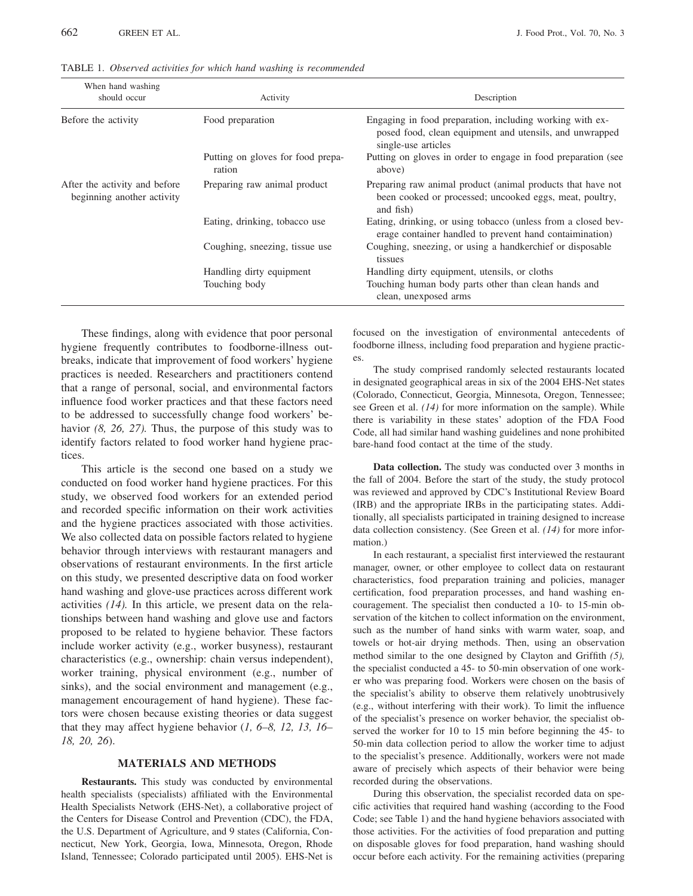| When hand washing<br>should occur                           | Activity                                    | Description                                                                                                                                |
|-------------------------------------------------------------|---------------------------------------------|--------------------------------------------------------------------------------------------------------------------------------------------|
| Before the activity                                         | Food preparation                            | Engaging in food preparation, including working with ex-<br>posed food, clean equipment and utensils, and unwrapped<br>single-use articles |
|                                                             | Putting on gloves for food prepa-<br>ration | Putting on gloves in order to engage in food preparation (see<br>above)                                                                    |
| After the activity and before<br>beginning another activity | Preparing raw animal product                | Preparing raw animal product (animal products that have not<br>been cooked or processed; uncooked eggs, meat, poultry,<br>and fish)        |
|                                                             | Eating, drinking, tobacco use               | Eating, drinking, or using tobacco (unless from a closed bev-<br>erage container handled to prevent hand contaimination)                   |
|                                                             | Coughing, sneezing, tissue use              | Coughing, sneezing, or using a handkerchief or disposable<br>tissues                                                                       |
|                                                             | Handling dirty equipment                    | Handling dirty equipment, utensils, or cloths                                                                                              |
|                                                             | Touching body                               | Touching human body parts other than clean hands and<br>clean, unexposed arms                                                              |

TABLE 1. Observed activities for which hand washing is recommended

These findings, along with evidence that poor personal hygiene frequently contributes to foodborne-illness outbreaks, indicate that improvement of food workers' hygiene practices is needed. Researchers and practitioners contend that a range of personal, social, and environmental factors influence food worker practices and that these factors need to be addressed to successfully change food workers' behavior  $(8, 26, 27)$ . Thus, the purpose of this study was to identify factors related to food worker hand hygiene practices.

This article is the second one based on a study we conducted on food worker hand hygiene practices. For this study, we observed food workers for an extended period and recorded specific information on their work activities and the hygiene practices associated with those activities. We also collected data on possible factors related to hygiene behavior through interviews with restaurant managers and observations of restaurant environments. In the first article on this study, we presented descriptive data on food worker hand washing and glove-use practices across different work activities  $(14)$ . In this article, we present data on the relationships between hand washing and glove use and factors proposed to be related to hygiene behavior. These factors include worker activity (e.g., worker busyness), restaurant characteristics (e.g., ownership: chain versus independent), worker training, physical environment (e.g., number of sinks), and the social environment and management (e.g., management encouragement of hand hygiene). These factors were chosen because existing theories or data suggest that they may affect hygiene behavior  $(1, 6-8, 12, 13, 16-$ 18, 20, 26).

#### **MATERIALS AND METHODS**

Restaurants. This study was conducted by environmental health specialists (specialists) affiliated with the Environmental Health Specialists Network (EHS-Net), a collaborative project of the Centers for Disease Control and Prevention (CDC), the FDA, the U.S. Department of Agriculture, and 9 states (California, Connecticut, New York, Georgia, Iowa, Minnesota, Oregon, Rhode Island, Tennessee; Colorado participated until 2005). EHS-Net is

focused on the investigation of environmental antecedents of foodborne illness, including food preparation and hygiene practices.

The study comprised randomly selected restaurants located in designated geographical areas in six of the 2004 EHS-Net states (Colorado, Connecticut, Georgia, Minnesota, Oregon, Tennessee; see Green et al.  $(14)$  for more information on the sample). While there is variability in these states' adoption of the FDA Food Code, all had similar hand washing guidelines and none prohibited bare-hand food contact at the time of the study.

Data collection. The study was conducted over 3 months in the fall of 2004. Before the start of the study, the study protocol was reviewed and approved by CDC's Institutional Review Board (IRB) and the appropriate IRBs in the participating states. Additionally, all specialists participated in training designed to increase data collection consistency. (See Green et al.  $(14)$  for more information)

In each restaurant, a specialist first interviewed the restaurant manager, owner, or other employee to collect data on restaurant characteristics, food preparation training and policies, manager certification, food preparation processes, and hand washing encouragement. The specialist then conducted a 10- to 15-min observation of the kitchen to collect information on the environment, such as the number of hand sinks with warm water, soap, and towels or hot-air drying methods. Then, using an observation method similar to the one designed by Clayton and Griffith  $(5)$ , the specialist conducted a 45- to 50-min observation of one worker who was preparing food. Workers were chosen on the basis of the specialist's ability to observe them relatively unobtrusively (e.g., without interfering with their work). To limit the influence of the specialist's presence on worker behavior, the specialist observed the worker for 10 to 15 min before beginning the 45- to 50-min data collection period to allow the worker time to adjust to the specialist's presence. Additionally, workers were not made aware of precisely which aspects of their behavior were being recorded during the observations.

During this observation, the specialist recorded data on specific activities that required hand washing (according to the Food Code; see Table 1) and the hand hygiene behaviors associated with those activities. For the activities of food preparation and putting on disposable gloves for food preparation, hand washing should occur before each activity. For the remaining activities (preparing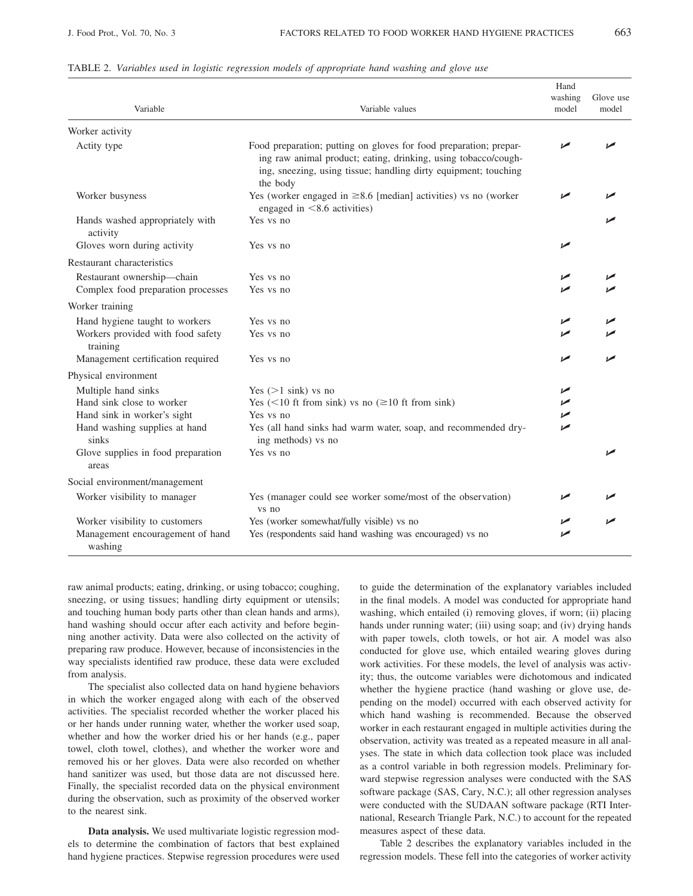| Variable                                      | Variable values                                                                                                                                                                                                    | Hand<br>washing<br>model | Glove use<br>model |
|-----------------------------------------------|--------------------------------------------------------------------------------------------------------------------------------------------------------------------------------------------------------------------|--------------------------|--------------------|
| Worker activity                               |                                                                                                                                                                                                                    |                          |                    |
| Actity type                                   | Food preparation; putting on gloves for food preparation; prepar-<br>ing raw animal product; eating, drinking, using tobacco/cough-<br>ing, sneezing, using tissue; handling dirty equipment; touching<br>the body | حما                      |                    |
| Worker busyness                               | Yes (worker engaged in $\geq 8.6$ [median] activities) vs no (worker<br>engaged in $\leq 8.6$ activities)                                                                                                          | مما                      |                    |
| Hands washed appropriately with<br>activity   | Yes vs no                                                                                                                                                                                                          |                          |                    |
| Gloves worn during activity                   | Yes vs no                                                                                                                                                                                                          | ✔                        |                    |
| Restaurant characteristics                    |                                                                                                                                                                                                                    |                          |                    |
| Restaurant ownership-chain                    | Yes vs no                                                                                                                                                                                                          | حرا                      |                    |
| Complex food preparation processes            | Yes vs no                                                                                                                                                                                                          | $\sqrt{ }$               |                    |
| Worker training                               |                                                                                                                                                                                                                    |                          |                    |
| Hand hygiene taught to workers                | Yes vs no                                                                                                                                                                                                          | مما                      |                    |
| Workers provided with food safety<br>training | Yes vs no                                                                                                                                                                                                          | مما                      |                    |
| Management certification required             | Yes vs no                                                                                                                                                                                                          | مما                      |                    |
| Physical environment                          |                                                                                                                                                                                                                    |                          |                    |
| Multiple hand sinks                           | Yes $(>1 \sin k)$ vs no                                                                                                                                                                                            | ✔                        |                    |
| Hand sink close to worker                     | Yes (<10 ft from sink) vs no ( $\geq$ 10 ft from sink)                                                                                                                                                             | مما                      |                    |
| Hand sink in worker's sight                   | Yes vs no                                                                                                                                                                                                          | مما                      |                    |
| Hand washing supplies at hand<br>sinks        | Yes (all hand sinks had warm water, soap, and recommended dry-<br>ing methods) vs no                                                                                                                               | مما                      |                    |
| Glove supplies in food preparation<br>areas   | Yes vs no                                                                                                                                                                                                          |                          | حما                |
| Social environment/management                 |                                                                                                                                                                                                                    |                          |                    |
| Worker visibility to manager                  | Yes (manager could see worker some/most of the observation)<br>vs no                                                                                                                                               |                          |                    |
| Worker visibility to customers                | Yes (worker somewhat/fully visible) vs no                                                                                                                                                                          |                          |                    |
| Management encouragement of hand<br>washing   | Yes (respondents said hand washing was encouraged) vs no                                                                                                                                                           | $\sqrt{ }$               |                    |

TABLE 2. Variables used in logistic regression models of appropriate hand washing and glove use

raw animal products; eating, drinking, or using tobacco; coughing, sneezing, or using tissues; handling dirty equipment or utensils; and touching human body parts other than clean hands and arms), hand washing should occur after each activity and before beginning another activity. Data were also collected on the activity of preparing raw produce. However, because of inconsistencies in the way specialists identified raw produce, these data were excluded from analysis.

The specialist also collected data on hand hygiene behaviors in which the worker engaged along with each of the observed activities. The specialist recorded whether the worker placed his or her hands under running water, whether the worker used soap, whether and how the worker dried his or her hands (e.g., paper towel, cloth towel, clothes), and whether the worker wore and removed his or her gloves. Data were also recorded on whether hand sanitizer was used, but those data are not discussed here. Finally, the specialist recorded data on the physical environment during the observation, such as proximity of the observed worker to the nearest sink.

Data analysis. We used multivariate logistic regression models to determine the combination of factors that best explained hand hygiene practices. Stepwise regression procedures were used to guide the determination of the explanatory variables included in the final models. A model was conducted for appropriate hand washing, which entailed (i) removing gloves, if worn; (ii) placing hands under running water; (iii) using soap; and (iv) drying hands with paper towels, cloth towels, or hot air. A model was also conducted for glove use, which entailed wearing gloves during work activities. For these models, the level of analysis was activity; thus, the outcome variables were dichotomous and indicated whether the hygiene practice (hand washing or glove use, depending on the model) occurred with each observed activity for which hand washing is recommended. Because the observed worker in each restaurant engaged in multiple activities during the observation, activity was treated as a repeated measure in all analyses. The state in which data collection took place was included as a control variable in both regression models. Preliminary forward stepwise regression analyses were conducted with the SAS software package (SAS, Cary, N.C.); all other regression analyses were conducted with the SUDAAN software package (RTI International, Research Triangle Park, N.C.) to account for the repeated measures aspect of these data.

Table 2 describes the explanatory variables included in the regression models. These fell into the categories of worker activity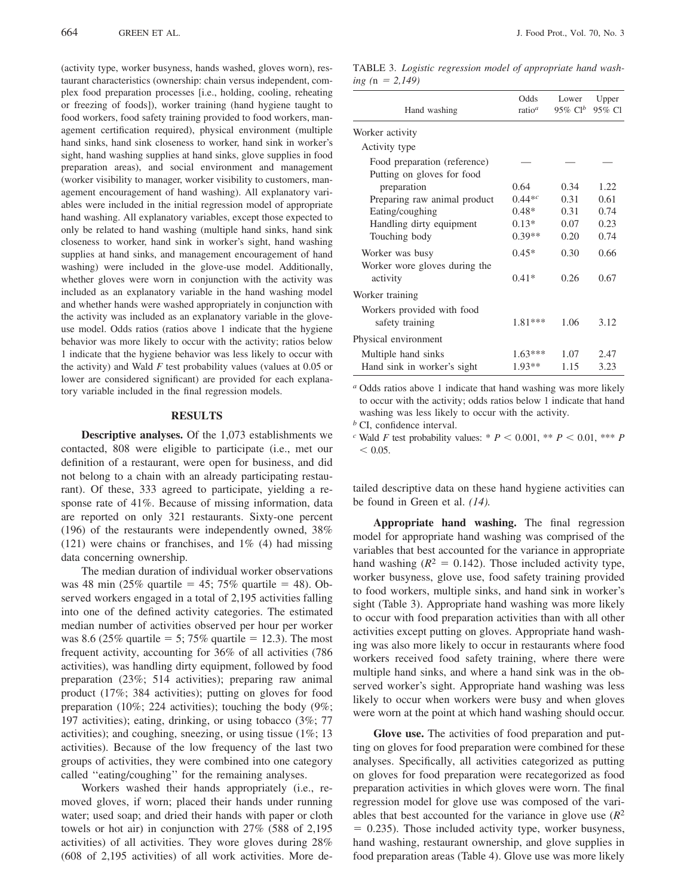(activity type, worker busyness, hands washed, gloves worn), restaurant characteristics (ownership: chain versus independent, complex food preparation processes [i.e., holding, cooling, reheating or freezing of foods]), worker training (hand hygiene taught to food workers, food safety training provided to food workers, management certification required), physical environment (multiple hand sinks, hand sink closeness to worker, hand sink in worker's sight, hand washing supplies at hand sinks, glove supplies in food preparation areas), and social environment and management (worker visibility to manager, worker visibility to customers, management encouragement of hand washing). All explanatory variables were included in the initial regression model of appropriate hand washing. All explanatory variables, except those expected to only be related to hand washing (multiple hand sinks, hand sink closeness to worker, hand sink in worker's sight, hand washing supplies at hand sinks, and management encouragement of hand washing) were included in the glove-use model. Additionally, whether gloves were worn in conjunction with the activity was included as an explanatory variable in the hand washing model and whether hands were washed appropriately in conjunction with the activity was included as an explanatory variable in the gloveuse model. Odds ratios (ratios above 1 indicate that the hygiene behavior was more likely to occur with the activity; ratios below 1 indicate that the hygiene behavior was less likely to occur with the activity) and Wald  $F$  test probability values (values at 0.05 or lower are considered significant) are provided for each explanatory variable included in the final regression models.

### **RESULTS**

**Descriptive analyses.** Of the 1,073 establishments we contacted, 808 were eligible to participate (i.e., met our definition of a restaurant, were open for business, and did not belong to a chain with an already participating restaurant). Of these, 333 agreed to participate, yielding a response rate of 41%. Because of missing information, data are reported on only 321 restaurants. Sixty-one percent  $(196)$  of the restaurants were independently owned, 38%  $(121)$  were chains or franchises, and  $1\%$  (4) had missing data concerning ownership.

The median duration of individual worker observations was 48 min (25% quartile = 45; 75% quartile = 48). Observed workers engaged in a total of 2,195 activities falling into one of the defined activity categories. The estimated median number of activities observed per hour per worker was 8.6 (25% quartile = 5; 75% quartile = 12.3). The most frequent activity, accounting for 36% of all activities (786 activities), was handling dirty equipment, followed by food preparation (23%; 514 activities); preparing raw animal product (17%; 384 activities); putting on gloves for food preparation (10%; 224 activities); touching the body (9%; 197 activities); eating, drinking, or using tobacco (3%; 77 activities); and coughing, sneezing, or using tissue  $(1\%; 13)$ activities). Because of the low frequency of the last two groups of activities, they were combined into one category called "eating/coughing" for the remaining analyses.

Workers washed their hands appropriately (i.e., removed gloves, if worn; placed their hands under running water; used soap; and dried their hands with paper or cloth towels or hot air) in conjunction with 27% (588 of 2,195 activities) of all activities. They wore gloves during 28% (608 of 2,195 activities) of all work activities. More de-

TABLE 3. Logistic regression model of appropriate hand washing (n = 2,149)

| Hand washing                                               | Odds<br>$ratio^a$ | Lower<br>95% $Cl^b$ | Upper<br>95% Cl |
|------------------------------------------------------------|-------------------|---------------------|-----------------|
| Worker activity                                            |                   |                     |                 |
| Activity type                                              |                   |                     |                 |
| Food preparation (reference)<br>Putting on gloves for food |                   |                     |                 |
| preparation                                                | 0.64              | 0.34                | 1.22            |
| Preparing raw animal product                               | $0.44 *c$         | 0.31                | 0.61            |
| Eating/coughing                                            | $0.48*$           | 0.31                | 0.74            |
| Handling dirty equipment                                   | $0.13*$           | 0.07                | 0.23            |
| Touching body                                              | $0.39**$          | 0.20                | 0.74            |
| Worker was busy<br>Worker wore gloves during the           | $0.45*$           | 0.30                | 0.66            |
| activity                                                   | $0.41*$           | 0.26                | 0.67            |
| Worker training                                            |                   |                     |                 |
| Workers provided with food<br>safety training              | $1.81***$         | 1.06                | 3.12            |
| Physical environment                                       |                   |                     |                 |
| Multiple hand sinks                                        | $1.63***$         | 1.07                | 2.47            |
| Hand sink in worker's sight                                | $1.93**$          | 1.15                | 3.23            |

<sup>*a*</sup> Odds ratios above 1 indicate that hand washing was more likely to occur with the activity; odds ratios below 1 indicate that hand washing was less likely to occur with the activity.

 $<sup>b</sup>$  CI, confidence interval.</sup>

<sup>c</sup> Wald F test probability values: \*  $P < 0.001$ , \*\*  $P < 0.01$ , \*\*\* P  $< 0.05$ .

tailed descriptive data on these hand hygiene activities can be found in Green et al.  $(14)$ .

Appropriate hand washing. The final regression model for appropriate hand washing was comprised of the variables that best accounted for the variance in appropriate hand washing ( $R^2 = 0.142$ ). Those included activity type, worker busyness, glove use, food safety training provided to food workers, multiple sinks, and hand sink in worker's sight (Table 3). Appropriate hand washing was more likely to occur with food preparation activities than with all other activities except putting on gloves. Appropriate hand washing was also more likely to occur in restaurants where food workers received food safety training, where there were multiple hand sinks, and where a hand sink was in the observed worker's sight. Appropriate hand washing was less likely to occur when workers were busy and when gloves were worn at the point at which hand washing should occur.

**Glove use.** The activities of food preparation and putting on gloves for food preparation were combined for these analyses. Specifically, all activities categorized as putting on gloves for food preparation were recategorized as food preparation activities in which gloves were worn. The final regression model for glove use was composed of the variables that best accounted for the variance in glove use  $(R^2)$  $= 0.235$ ). Those included activity type, worker busyness, hand washing, restaurant ownership, and glove supplies in food preparation areas (Table 4). Glove use was more likely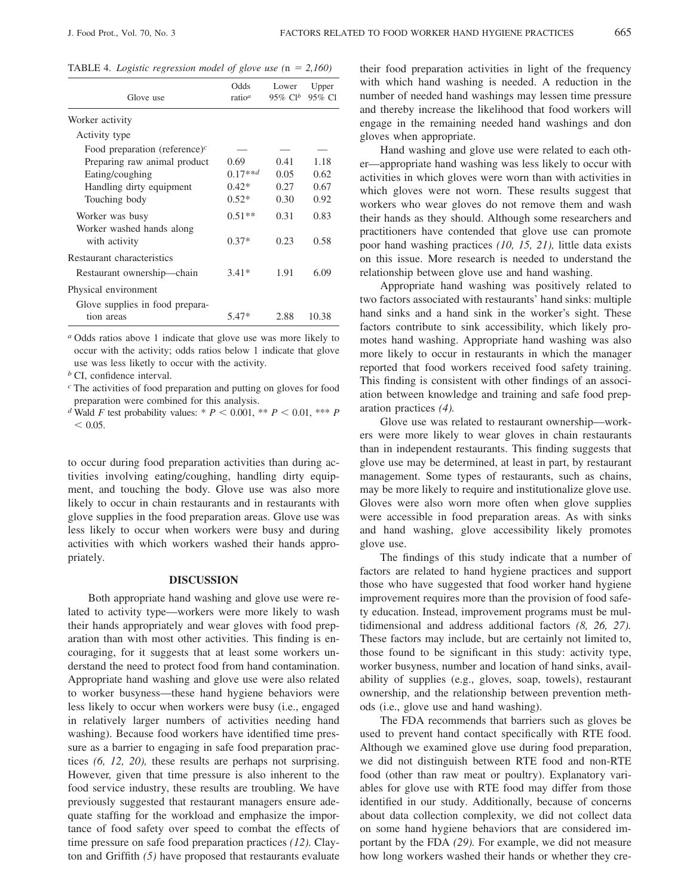TABLE 4. Logistic regression model of glove use  $(n = 2,160)$ 

| Glove use                                    | Odds<br>$ratio^a$ | Lower<br>95% $Cl^b$ 95% Cl | Upper |
|----------------------------------------------|-------------------|----------------------------|-------|
| Worker activity                              |                   |                            |       |
| Activity type                                |                   |                            |       |
| Food preparation (reference) <sup>c</sup>    |                   |                            |       |
| Preparing raw animal product                 | 0.69              | 0.41                       | 1.18  |
| Eating/coughing                              | $0.17**d$         | 0.05                       | 0.62  |
| Handling dirty equipment                     | $0.42*$           | 0.27                       | 0.67  |
| Touching body                                | $0.52*$           | 0.30                       | 0.92  |
| Worker was busy<br>Worker washed hands along | $0.51**$          | 0.31                       | 0.83  |
| with activity                                | $0.37*$           | 0.23                       | 0.58  |
| Restaurant characteristics                   |                   |                            |       |
| Restaurant ownership—chain                   | $3.41*$           | 1.91                       | 6.09  |
| Physical environment                         |                   |                            |       |
| Glove supplies in food prepara-              |                   |                            |       |
| tion areas                                   | 5.47*             | 2.88                       | 10.38 |

<sup>*a*</sup> Odds ratios above 1 indicate that glove use was more likely to occur with the activity; odds ratios below 1 indicate that glove use was less liketly to occur with the activity.

 $<sup>b</sup>$  CI, confidence interval.</sup>

- <sup>c</sup> The activities of food preparation and putting on gloves for food preparation were combined for this analysis.
- <sup>d</sup> Wald F test probability values: \* P < 0.001, \*\* P < 0.01, \*\*\* P  $< 0.05$

to occur during food preparation activities than during activities involving eating/coughing, handling dirty equipment, and touching the body. Glove use was also more likely to occur in chain restaurants and in restaurants with glove supplies in the food preparation areas. Glove use was less likely to occur when workers were busy and during activities with which workers washed their hands appropriately.

## **DISCUSSION**

Both appropriate hand washing and glove use were related to activity type—workers were more likely to wash their hands appropriately and wear gloves with food preparation than with most other activities. This finding is encouraging, for it suggests that at least some workers understand the need to protect food from hand contamination. Appropriate hand washing and glove use were also related to worker busyness—these hand hygiene behaviors were less likely to occur when workers were busy (i.e., engaged in relatively larger numbers of activities needing hand washing). Because food workers have identified time pressure as a barrier to engaging in safe food preparation practices  $(6, 12, 20)$ , these results are perhaps not surprising. However, given that time pressure is also inherent to the food service industry, these results are troubling. We have previously suggested that restaurant managers ensure adequate staffing for the workload and emphasize the importance of food safety over speed to combat the effects of time pressure on safe food preparation practices  $(12)$ . Clayton and Griffith  $(5)$  have proposed that restaurants evaluate

their food preparation activities in light of the frequency with which hand washing is needed. A reduction in the number of needed hand washings may lessen time pressure and thereby increase the likelihood that food workers will engage in the remaining needed hand washings and don gloves when appropriate.

Hand washing and glove use were related to each other—appropriate hand washing was less likely to occur with activities in which gloves were worn than with activities in which gloves were not worn. These results suggest that workers who wear gloves do not remove them and wash their hands as they should. Although some researchers and practitioners have contended that glove use can promote poor hand washing practices  $(10, 15, 21)$ , little data exists on this issue. More research is needed to understand the relationship between glove use and hand washing.

Appropriate hand washing was positively related to two factors associated with restaurants' hand sinks: multiple hand sinks and a hand sink in the worker's sight. These factors contribute to sink accessibility, which likely promotes hand washing. Appropriate hand washing was also more likely to occur in restaurants in which the manager reported that food workers received food safety training. This finding is consistent with other findings of an association between knowledge and training and safe food preparation practices  $(4)$ .

Glove use was related to restaurant ownership-workers were more likely to wear gloves in chain restaurants than in independent restaurants. This finding suggests that glove use may be determined, at least in part, by restaurant management. Some types of restaurants, such as chains, may be more likely to require and institutionalize glove use. Gloves were also worn more often when glove supplies were accessible in food preparation areas. As with sinks and hand washing, glove accessibility likely promotes glove use.

The findings of this study indicate that a number of factors are related to hand hygiene practices and support those who have suggested that food worker hand hygiene improvement requires more than the provision of food safety education. Instead, improvement programs must be multidimensional and address additional factors  $(8, 26, 27)$ . These factors may include, but are certainly not limited to, those found to be significant in this study: activity type, worker busyness, number and location of hand sinks, availability of supplies (e.g., gloves, soap, towels), restaurant ownership, and the relationship between prevention methods (i.e., glove use and hand washing).

The FDA recommends that barriers such as gloves be used to prevent hand contact specifically with RTE food. Although we examined glove use during food preparation, we did not distinguish between RTE food and non-RTE food (other than raw meat or poultry). Explanatory variables for glove use with RTE food may differ from those identified in our study. Additionally, because of concerns about data collection complexity, we did not collect data on some hand hygiene behaviors that are considered important by the FDA (29). For example, we did not measure how long workers washed their hands or whether they cre